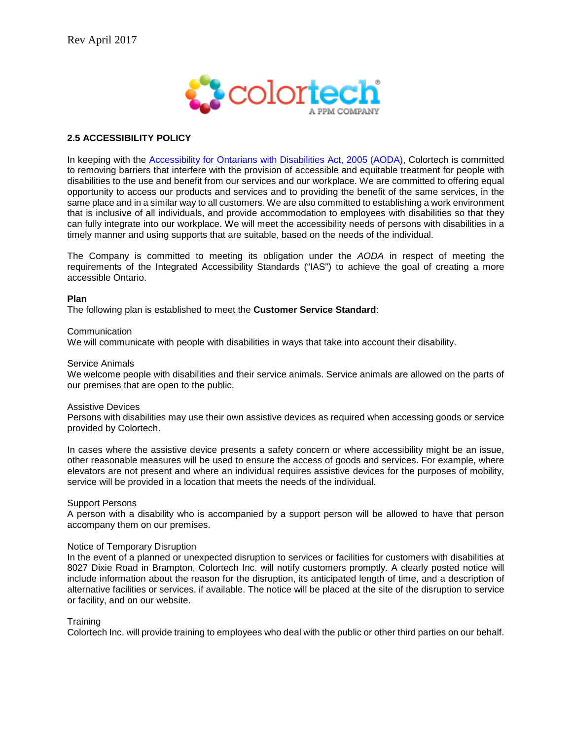

# **2.5 ACCESSIBILITY POLICY**

In keeping with the [Accessibility for Ontarians with Disabilities Act, 2005 \(AODA\),](http://www.mcss.gov.on.ca/en/mcss/programs/accessibility/understanding_accessibility/aoda.aspx) Colortech is committed to removing barriers that interfere with the provision of accessible and equitable treatment for people with disabilities to the use and benefit from our services and our workplace. We are committed to offering equal opportunity to access our products and services and to providing the benefit of the same services, in the same place and in a similar way to all customers. We are also committed to establishing a work environment that is inclusive of all individuals, and provide accommodation to employees with disabilities so that they can fully integrate into our workplace. We will meet the accessibility needs of persons with disabilities in a timely manner and using supports that are suitable, based on the needs of the individual.

The Company is committed to meeting its obligation under the *AODA* in respect of meeting the requirements of the Integrated Accessibility Standards ("IAS") to achieve the goal of creating a more accessible Ontario.

### **Plan**

The following plan is established to meet the **Customer Service Standard**:

**Communication** 

We will communicate with people with disabilities in ways that take into account their disability.

#### Service Animals

We welcome people with disabilities and their service animals. Service animals are allowed on the parts of our premises that are open to the public.

#### Assistive Devices

Persons with disabilities may use their own assistive devices as required when accessing goods or service provided by Colortech.

In cases where the assistive device presents a safety concern or where accessibility might be an issue, other reasonable measures will be used to ensure the access of goods and services. For example, where elevators are not present and where an individual requires assistive devices for the purposes of mobility, service will be provided in a location that meets the needs of the individual.

#### Support Persons

A person with a disability who is accompanied by a support person will be allowed to have that person accompany them on our premises.

### Notice of Temporary Disruption

In the event of a planned or unexpected disruption to services or facilities for customers with disabilities at 8027 Dixie Road in Brampton, Colortech Inc. will notify customers promptly. A clearly posted notice will include information about the reason for the disruption, its anticipated length of time, and a description of alternative facilities or services, if available. The notice will be placed at the site of the disruption to service or facility, and on our website.

#### **Training**

Colortech Inc. will provide training to employees who deal with the public or other third parties on our behalf.